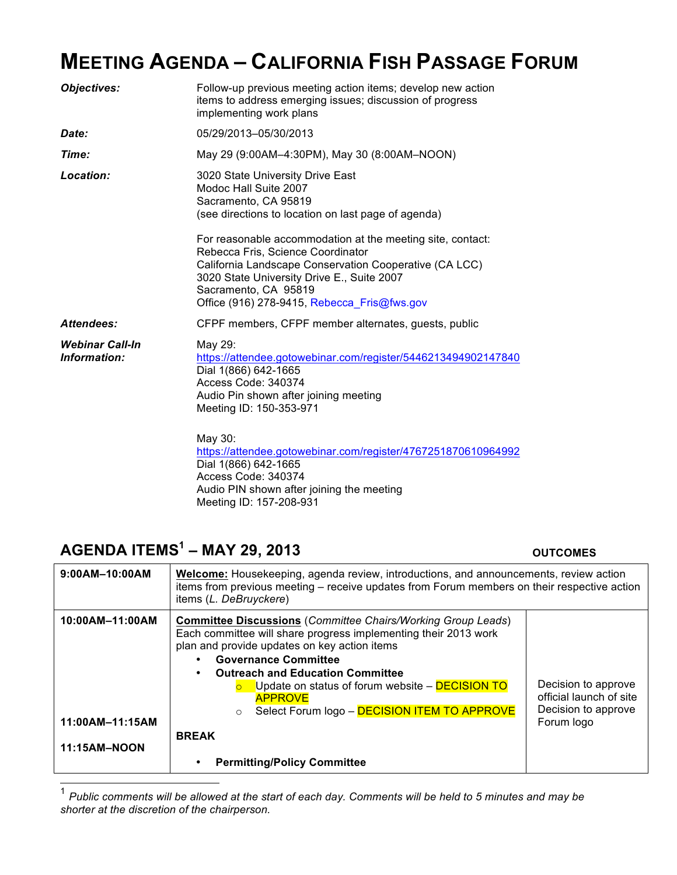## **MEETING AGENDA – CALIFORNIA FISH PASSAGE FORUM**

| <b>Objectives:</b>                     | Follow-up previous meeting action items; develop new action<br>items to address emerging issues; discussion of progress<br>implementing work plans                                                                                                                                                                                                                                                                         |  |
|----------------------------------------|----------------------------------------------------------------------------------------------------------------------------------------------------------------------------------------------------------------------------------------------------------------------------------------------------------------------------------------------------------------------------------------------------------------------------|--|
| Date:                                  | 05/29/2013-05/30/2013                                                                                                                                                                                                                                                                                                                                                                                                      |  |
| Time:                                  | May 29 (9:00AM-4:30PM), May 30 (8:00AM-NOON)                                                                                                                                                                                                                                                                                                                                                                               |  |
| Location:                              | 3020 State University Drive East<br>Modoc Hall Suite 2007<br>Sacramento, CA 95819<br>(see directions to location on last page of agenda)<br>For reasonable accommodation at the meeting site, contact:<br>Rebecca Fris, Science Coordinator<br>California Landscape Conservation Cooperative (CA LCC)<br>3020 State University Drive E., Suite 2007<br>Sacramento, CA 95819<br>Office (916) 278-9415, Rebecca Fris@fws.gov |  |
| Attendees:                             | CFPF members, CFPF member alternates, guests, public                                                                                                                                                                                                                                                                                                                                                                       |  |
| <b>Webinar Call-In</b><br>Information: | May 29:<br>https://attendee.gotowebinar.com/register/5446213494902147840<br>Dial 1(866) 642-1665<br>Access Code: 340374<br>Audio Pin shown after joining meeting<br>Meeting ID: 150-353-971<br>May 30:<br>https://attendee.gotowebinar.com/register/4767251870610964992<br>Dial 1(866) 642-1665<br>Access Code: 340374                                                                                                     |  |

Audio PIN shown after joining the meeting

Meeting ID: 157-208-931

### **AGENDA ITEMS1 – MAY 29, 2013 OUTCOMES**

| $9:00AM-10:00AM$                                   | <b>Welcome:</b> Housekeeping, agenda review, introductions, and announcements, review action<br>items from previous meeting – receive updates from Forum members on their respective action<br>items (L. DeBruyckere)                                                                                                                                                                                                                                  |                                                                                     |
|----------------------------------------------------|--------------------------------------------------------------------------------------------------------------------------------------------------------------------------------------------------------------------------------------------------------------------------------------------------------------------------------------------------------------------------------------------------------------------------------------------------------|-------------------------------------------------------------------------------------|
| 10:00AM-11:00AM<br>11:00AM-11:15AM<br>11:15AM-NOON | <b>Committee Discussions (Committee Chairs/Working Group Leads)</b><br>Each committee will share progress implementing their 2013 work<br>plan and provide updates on key action items<br><b>Governance Committee</b><br><b>Outreach and Education Committee</b><br>Update on status of forum website - DECISION TO<br><b>APPROVE</b><br>Select Forum logo - DECISION ITEM TO APPROVE<br>$\circ$<br><b>BREAK</b><br><b>Permitting/Policy Committee</b> | Decision to approve<br>official launch of site<br>Decision to approve<br>Forum logo |

 1 *Public comments will be allowed at the start of each day. Comments will be held to 5 minutes and may be shorter at the discretion of the chairperson.*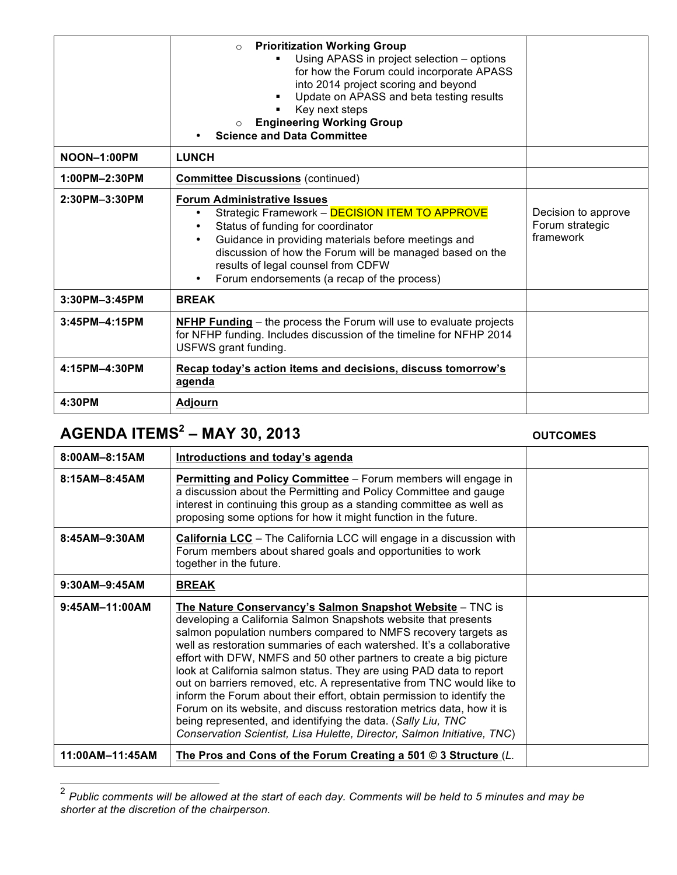|                    | <b>Prioritization Working Group</b><br>$\Omega$<br>Using APASS in project selection - options<br>for how the Forum could incorporate APASS<br>into 2014 project scoring and beyond<br>Update on APASS and beta testing results<br>٠<br>Key next steps<br><b>Engineering Working Group</b><br>$\circ$<br><b>Science and Data Committee</b>                        |                                                     |
|--------------------|------------------------------------------------------------------------------------------------------------------------------------------------------------------------------------------------------------------------------------------------------------------------------------------------------------------------------------------------------------------|-----------------------------------------------------|
| <b>NOON-1:00PM</b> | <b>LUNCH</b>                                                                                                                                                                                                                                                                                                                                                     |                                                     |
| 1:00PM-2:30PM      | <b>Committee Discussions (continued)</b>                                                                                                                                                                                                                                                                                                                         |                                                     |
| 2:30PM-3:30PM      | <b>Forum Administrative Issues</b><br>Strategic Framework - DECISION ITEM TO APPROVE<br>$\bullet$<br>Status of funding for coordinator<br>Guidance in providing materials before meetings and<br>$\bullet$<br>discussion of how the Forum will be managed based on the<br>results of legal counsel from CDFW<br>Forum endorsements (a recap of the process)<br>٠ | Decision to approve<br>Forum strategic<br>framework |
| 3:30PM-3:45PM      | <b>BREAK</b>                                                                                                                                                                                                                                                                                                                                                     |                                                     |
| 3:45PM-4:15PM      | <b>NFHP Funding</b> – the process the Forum will use to evaluate projects<br>for NFHP funding. Includes discussion of the timeline for NFHP 2014<br>USFWS grant funding.                                                                                                                                                                                         |                                                     |
| 4:15PM-4:30PM      | Recap today's action items and decisions, discuss tomorrow's<br>agenda                                                                                                                                                                                                                                                                                           |                                                     |
| 4:30PM             | <b>Adjourn</b>                                                                                                                                                                                                                                                                                                                                                   |                                                     |

# **AGENDA ITEMS2 – MAY 30, 2013 OUTCOMES**

| 8:00AM-8:15AM     | Introductions and today's agenda                                                                                                                                                                                                                                                                                                                                                                                                                                                                                                                                                                                                                                                                                                                                                            |  |
|-------------------|---------------------------------------------------------------------------------------------------------------------------------------------------------------------------------------------------------------------------------------------------------------------------------------------------------------------------------------------------------------------------------------------------------------------------------------------------------------------------------------------------------------------------------------------------------------------------------------------------------------------------------------------------------------------------------------------------------------------------------------------------------------------------------------------|--|
| $8:15AM - 8:45AM$ | Permitting and Policy Committee - Forum members will engage in<br>a discussion about the Permitting and Policy Committee and gauge<br>interest in continuing this group as a standing committee as well as<br>proposing some options for how it might function in the future.                                                                                                                                                                                                                                                                                                                                                                                                                                                                                                               |  |
| 8:45AM-9:30AM     | California LCC - The California LCC will engage in a discussion with<br>Forum members about shared goals and opportunities to work<br>together in the future.                                                                                                                                                                                                                                                                                                                                                                                                                                                                                                                                                                                                                               |  |
| 9:30AM-9:45AM     | <b>BREAK</b>                                                                                                                                                                                                                                                                                                                                                                                                                                                                                                                                                                                                                                                                                                                                                                                |  |
| 9:45AM-11:00AM    | The Nature Conservancy's Salmon Snapshot Website - TNC is<br>developing a California Salmon Snapshots website that presents<br>salmon population numbers compared to NMFS recovery targets as<br>well as restoration summaries of each watershed. It's a collaborative<br>effort with DFW, NMFS and 50 other partners to create a big picture<br>look at California salmon status. They are using PAD data to report<br>out on barriers removed, etc. A representative from TNC would like to<br>inform the Forum about their effort, obtain permission to identify the<br>Forum on its website, and discuss restoration metrics data, how it is<br>being represented, and identifying the data. (Sally Liu, TNC<br>Conservation Scientist, Lisa Hulette, Director, Salmon Initiative, TNC) |  |
| 11:00AM-11:45AM   | The Pros and Cons of the Forum Creating a 501 $\odot$ 3 Structure (L.                                                                                                                                                                                                                                                                                                                                                                                                                                                                                                                                                                                                                                                                                                                       |  |

 <sup>2</sup> *Public comments will be allowed at the start of each day. Comments will be held to 5 minutes and may be shorter at the discretion of the chairperson.*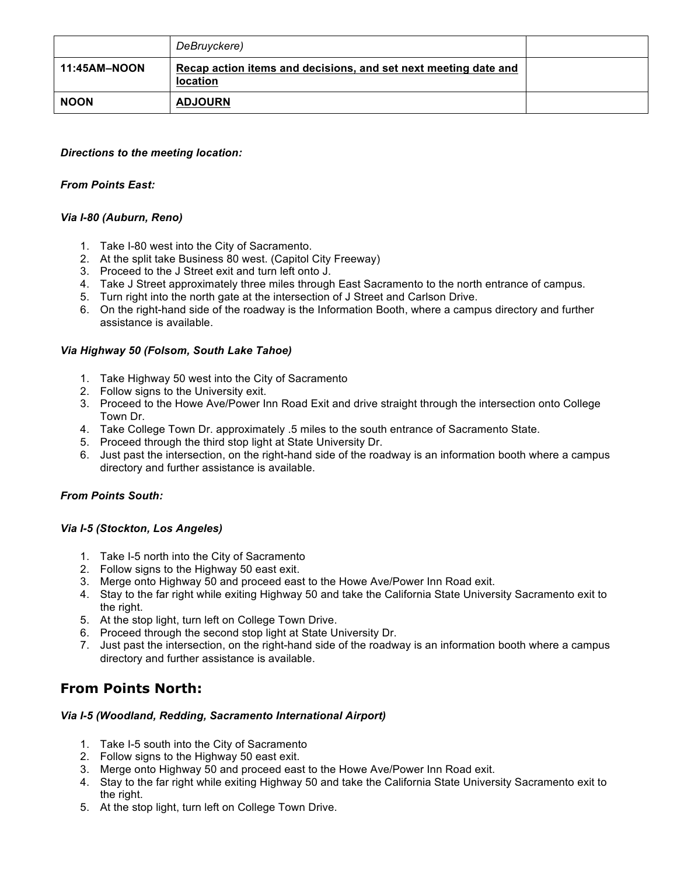|              | DeBruyckere)                                                                |  |
|--------------|-----------------------------------------------------------------------------|--|
| 11:45AM-NOON | Recap action items and decisions, and set next meeting date and<br>location |  |
| <b>NOON</b>  | <b>ADJOURN</b>                                                              |  |

#### *Directions to the meeting location:*

### *From Points East:*

#### *Via I-80 (Auburn, Reno)*

- 1. Take I-80 west into the City of Sacramento.
- 2. At the split take Business 80 west. (Capitol City Freeway)
- 3. Proceed to the J Street exit and turn left onto J.
- 4. Take J Street approximately three miles through East Sacramento to the north entrance of campus.
- 5. Turn right into the north gate at the intersection of J Street and Carlson Drive.
- 6. On the right-hand side of the roadway is the Information Booth, where a campus directory and further assistance is available.

#### *Via Highway 50 (Folsom, South Lake Tahoe)*

- 1. Take Highway 50 west into the City of Sacramento
- 2. Follow signs to the University exit.
- 3. Proceed to the Howe Ave/Power Inn Road Exit and drive straight through the intersection onto College Town Dr.
- 4. Take College Town Dr. approximately .5 miles to the south entrance of Sacramento State.
- 5. Proceed through the third stop light at State University Dr.
- 6. Just past the intersection, on the right-hand side of the roadway is an information booth where a campus directory and further assistance is available.

#### *From Points South:*

#### *Via I-5 (Stockton, Los Angeles)*

- 1. Take I-5 north into the City of Sacramento
- 2. Follow signs to the Highway 50 east exit.
- 3. Merge onto Highway 50 and proceed east to the Howe Ave/Power Inn Road exit.
- 4. Stay to the far right while exiting Highway 50 and take the California State University Sacramento exit to the right.
- 5. At the stop light, turn left on College Town Drive.
- 6. Proceed through the second stop light at State University Dr.
- 7. Just past the intersection, on the right-hand side of the roadway is an information booth where a campus directory and further assistance is available.

### **From Points North:**

#### *Via I-5 (Woodland, Redding, Sacramento International Airport)*

- 1. Take I-5 south into the City of Sacramento
- 2. Follow signs to the Highway 50 east exit.
- 3. Merge onto Highway 50 and proceed east to the Howe Ave/Power Inn Road exit.
- 4. Stay to the far right while exiting Highway 50 and take the California State University Sacramento exit to the right.
- 5. At the stop light, turn left on College Town Drive.